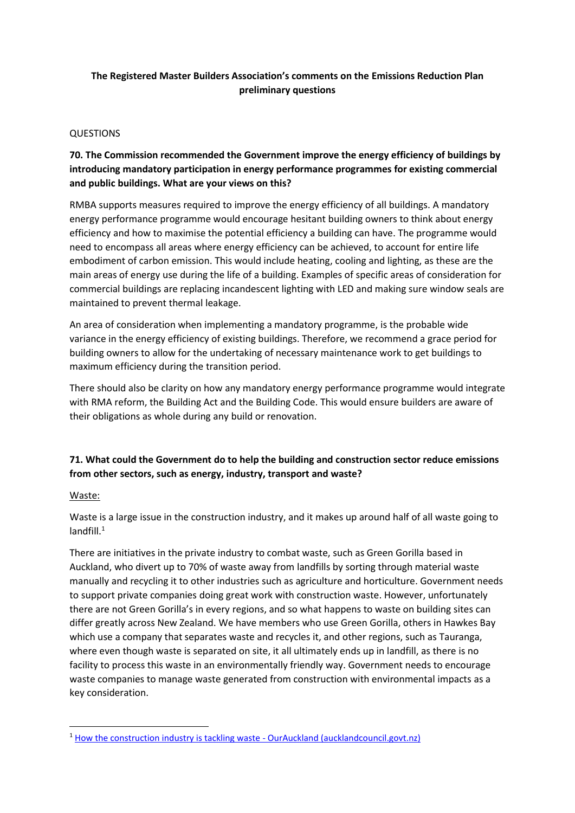### **The Registered Master Builders Association's comments on the Emissions Reduction Plan preliminary questions**

#### QUESTIONS

# **70. The Commission recommended the Government improve the energy efficiency of buildings by introducing mandatory participation in energy performance programmes for existing commercial and public buildings. What are your views on this?**

RMBA supports measures required to improve the energy efficiency of all buildings. A mandatory energy performance programme would encourage hesitant building owners to think about energy efficiency and how to maximise the potential efficiency a building can have. The programme would need to encompass all areas where energy efficiency can be achieved, to account for entire life embodiment of carbon emission. This would include heating, cooling and lighting, as these are the main areas of energy use during the life of a building. Examples of specific areas of consideration for commercial buildings are replacing incandescent lighting with LED and making sure window seals are maintained to prevent thermal leakage.

An area of consideration when implementing a mandatory programme, is the probable wide variance in the energy efficiency of existing buildings. Therefore, we recommend a grace period for building owners to allow for the undertaking of necessary maintenance work to get buildings to maximum efficiency during the transition period.

There should also be clarity on how any mandatory energy performance programme would integrate with RMA reform, the Building Act and the Building Code. This would ensure builders are aware of their obligations as whole during any build or renovation.

# **71. What could the Government do to help the building and construction sector reduce emissions from other sectors, such as energy, industry, transport and waste?**

#### Waste:

Waste is a large issue in the construction industry, and it makes up around half of all waste going to landfill. 1

There are initiatives in the private industry to combat waste, such as Green Gorilla based in Auckland, who divert up to 70% of waste away from landfills by sorting through material waste manually and recycling it to other industries such as agriculture and horticulture. Government needs to support private companies doing great work with construction waste. However, unfortunately there are not Green Gorilla's in every regions, and so what happens to waste on building sites can differ greatly across New Zealand. We have members who use Green Gorilla, others in Hawkes Bay which use a company that separates waste and recycles it, and other regions, such as Tauranga, where even though waste is separated on site, it all ultimately ends up in landfill, as there is no facility to process this waste in an environmentally friendly way. Government needs to encourage waste companies to manage waste generated from construction with environmental impacts as a key consideration.

<sup>&</sup>lt;sup>1</sup> [How the construction industry is tackling waste -](https://ourauckland.aucklandcouncil.govt.nz/news/2020/09/how-the-construction-industry-is-tackling-waste/) OurAuckland (aucklandcouncil.govt.nz)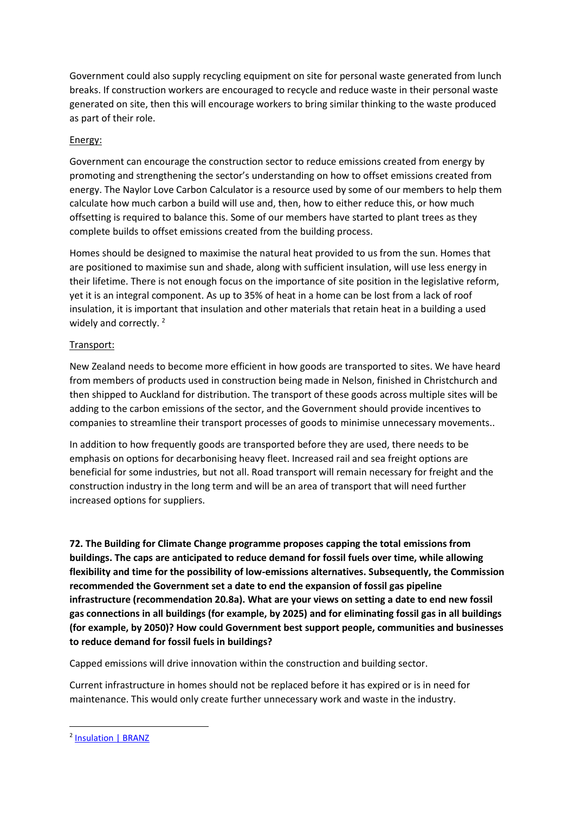Government could also supply recycling equipment on site for personal waste generated from lunch breaks. If construction workers are encouraged to recycle and reduce waste in their personal waste generated on site, then this will encourage workers to bring similar thinking to the waste produced as part of their role.

### Energy:

Government can encourage the construction sector to reduce emissions created from energy by promoting and strengthening the sector's understanding on how to offset emissions created from energy. The Naylor Love Carbon Calculator is a resource used by some of our members to help them calculate how much carbon a build will use and, then, how to either reduce this, or how much offsetting is required to balance this. Some of our members have started to plant trees as they complete builds to offset emissions created from the building process.

Homes should be designed to maximise the natural heat provided to us from the sun. Homes that are positioned to maximise sun and shade, along with sufficient insulation, will use less energy in their lifetime. There is not enough focus on the importance of site position in the legislative reform, yet it is an integral component. As up to 35% of heat in a home can be lost from a lack of roof insulation, it is important that insulation and other materials that retain heat in a building a used widely and correctly.<sup>2</sup>

## Transport:

New Zealand needs to become more efficient in how goods are transported to sites. We have heard from members of products used in construction being made in Nelson, finished in Christchurch and then shipped to Auckland for distribution. The transport of these goods across multiple sites will be adding to the carbon emissions of the sector, and the Government should provide incentives to companies to streamline their transport processes of goods to minimise unnecessary movements..

In addition to how frequently goods are transported before they are used, there needs to be emphasis on options for decarbonising heavy fleet. Increased rail and sea freight options are beneficial for some industries, but not all. Road transport will remain necessary for freight and the construction industry in the long term and will be an area of transport that will need further increased options for suppliers.

**72. The Building for Climate Change programme proposes capping the total emissions from buildings. The caps are anticipated to reduce demand for fossil fuels over time, while allowing flexibility and time for the possibility of low-emissions alternatives. Subsequently, the Commission recommended the Government set a date to end the expansion of fossil gas pipeline infrastructure (recommendation 20.8a). What are your views on setting a date to end new fossil gas connections in all buildings (for example, by 2025) and for eliminating fossil gas in all buildings (for example, by 2050)? How could Government best support people, communities and businesses to reduce demand for fossil fuels in buildings?** 

Capped emissions will drive innovation within the construction and building sector.

Current infrastructure in homes should not be replaced before it has expired or is in need for maintenance. This would only create further unnecessary work and waste in the industry.

<sup>&</sup>lt;sup>2</sup> [Insulation | BRANZ](https://www.branz.co.nz/healthy-homes-research/hcs/2015-results/insulation/)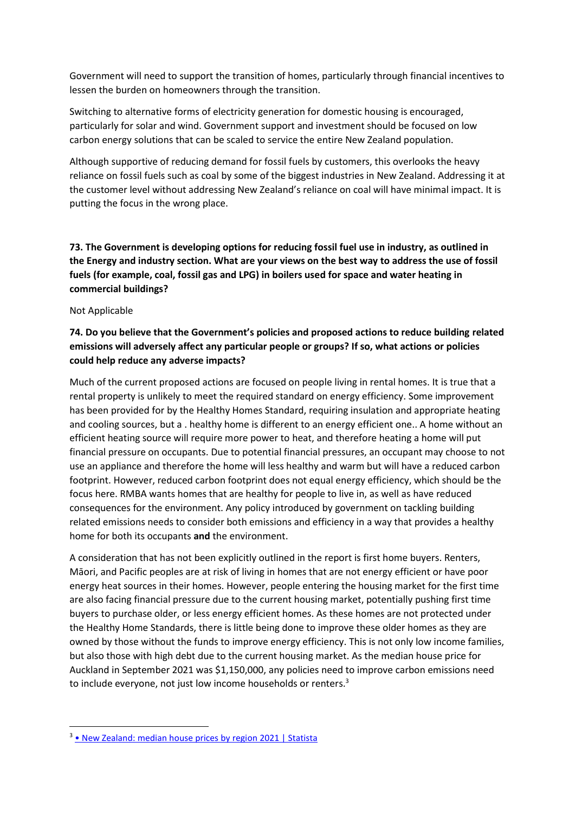Government will need to support the transition of homes, particularly through financial incentives to lessen the burden on homeowners through the transition.

Switching to alternative forms of electricity generation for domestic housing is encouraged, particularly for solar and wind. Government support and investment should be focused on low carbon energy solutions that can be scaled to service the entire New Zealand population.

Although supportive of reducing demand for fossil fuels by customers, this overlooks the heavy reliance on fossil fuels such as coal by some of the biggest industries in New Zealand. Addressing it at the customer level without addressing New Zealand's reliance on coal will have minimal impact. It is putting the focus in the wrong place.

**73. The Government is developing options for reducing fossil fuel use in industry, as outlined in the Energy and industry section. What are your views on the best way to address the use of fossil fuels (for example, coal, fossil gas and LPG) in boilers used for space and water heating in commercial buildings?** 

Not Applicable

# **74. Do you believe that the Government's policies and proposed actions to reduce building related emissions will adversely affect any particular people or groups? If so, what actions or policies could help reduce any adverse impacts?**

Much of the current proposed actions are focused on people living in rental homes. It is true that a rental property is unlikely to meet the required standard on energy efficiency. Some improvement has been provided for by the Healthy Homes Standard, requiring insulation and appropriate heating and cooling sources, but a . healthy home is different to an energy efficient one.. A home without an efficient heating source will require more power to heat, and therefore heating a home will put financial pressure on occupants. Due to potential financial pressures, an occupant may choose to not use an appliance and therefore the home will less healthy and warm but will have a reduced carbon footprint. However, reduced carbon footprint does not equal energy efficiency, which should be the focus here. RMBA wants homes that are healthy for people to live in, as well as have reduced consequences for the environment. Any policy introduced by government on tackling building related emissions needs to consider both emissions and efficiency in a way that provides a healthy home for both its occupants **and** the environment.

A consideration that has not been explicitly outlined in the report is first home buyers. Renters, Māori, and Pacific peoples are at risk of living in homes that are not energy efficient or have poor energy heat sources in their homes. However, people entering the housing market for the first time are also facing financial pressure due to the current housing market, potentially pushing first time buyers to purchase older, or less energy efficient homes. As these homes are not protected under the Healthy Home Standards, there is little being done to improve these older homes as they are owned by those without the funds to improve energy efficiency. This is not only low income families, but also those with high debt due to the current housing market. As the median house price for Auckland in September 2021 was \$1,150,000, any policies need to improve carbon emissions need to include everyone, not just low income households or renters.<sup>3</sup>

<sup>3</sup> [• New Zealand: median house prices by regi](https://www.statista.com/statistics/1028580/new-zealand-median-house-prices-by-region/)on 2021 | Statista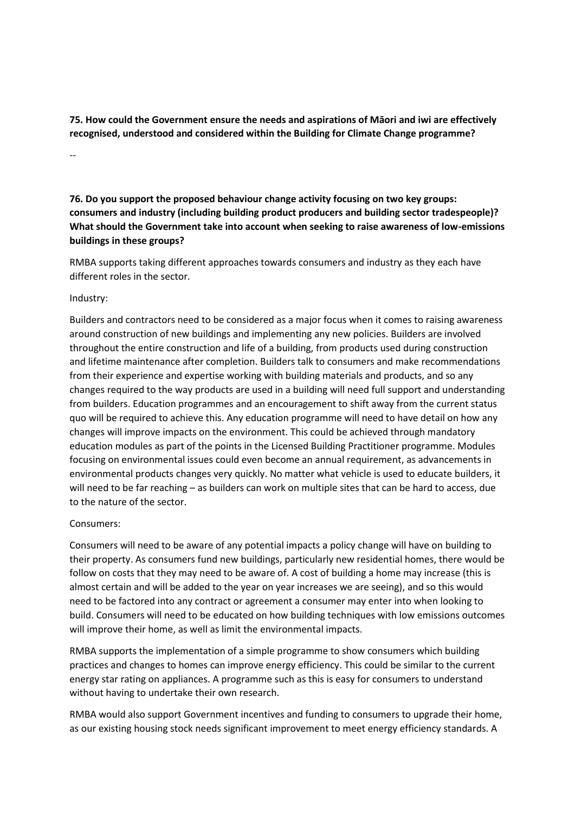**75. How could the Government ensure the needs and aspirations of Māori and iwi are effectively recognised, understood and considered within the Building for Climate Change programme?** 

--

**76. Do you support the proposed behaviour change activity focusing on two key groups: consumers and industry (including building product producers and building sector tradespeople)? What should the Government take into account when seeking to raise awareness of low-emissions buildings in these groups?** 

RMBA supports taking different approaches towards consumers and industry as they each have different roles in the sector.

#### Industry:

Builders and contractors need to be considered as a major focus when it comes to raising awareness around construction of new buildings and implementing any new policies. Builders are involved throughout the entire construction and life of a building, from products used during construction and lifetime maintenance after completion. Builders talk to consumers and make recommendations from their experience and expertise working with building materials and products, and so any changes required to the way products are used in a building will need full support and understanding from builders. Education programmes and an encouragement to shift away from the current status quo will be required to achieve this. Any education programme will need to have detail on how any changes will improve impacts on the environment. This could be achieved through mandatory education modules as part of the points in the Licensed Building Practitioner programme. Modules focusing on environmental issues could even become an annual requirement, as advancements in environmental products changes very quickly. No matter what vehicle is used to educate builders, it will need to be far reaching – as builders can work on multiple sites that can be hard to access, due to the nature of the sector.

### Consumers:

Consumers will need to be aware of any potential impacts a policy change will have on building to their property. As consumers fund new buildings, particularly new residential homes, there would be follow on costs that they may need to be aware of. A cost of building a home may increase (this is almost certain and will be added to the year on year increases we are seeing), and so this would need to be factored into any contract or agreement a consumer may enter into when looking to build. Consumers will need to be educated on how building techniques with low emissions outcomes will improve their home, as well as limit the environmental impacts.

RMBA supports the implementation of a simple programme to show consumers which building practices and changes to homes can improve energy efficiency. This could be similar to the current energy star rating on appliances. A programme such as this is easy for consumers to understand without having to undertake their own research.

RMBA would also support Government incentives and funding to consumers to upgrade their home, as our existing housing stock needs significant improvement to meet energy efficiency standards. A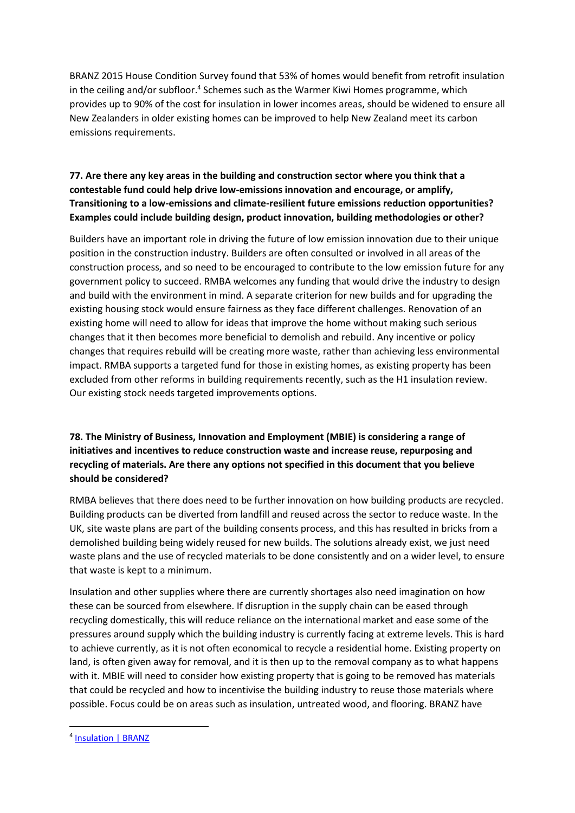BRANZ 2015 House Condition Survey found that 53% of homes would benefit from retrofit insulation in the ceiling and/or subfloor.<sup>4</sup> Schemes such as the Warmer Kiwi Homes programme, which provides up to 90% of the cost for insulation in lower incomes areas, should be widened to ensure all New Zealanders in older existing homes can be improved to help New Zealand meet its carbon emissions requirements.

# **77. Are there any key areas in the building and construction sector where you think that a contestable fund could help drive low-emissions innovation and encourage, or amplify, Transitioning to a low-emissions and climate-resilient future emissions reduction opportunities? Examples could include building design, product innovation, building methodologies or other?**

Builders have an important role in driving the future of low emission innovation due to their unique position in the construction industry. Builders are often consulted or involved in all areas of the construction process, and so need to be encouraged to contribute to the low emission future for any government policy to succeed. RMBA welcomes any funding that would drive the industry to design and build with the environment in mind. A separate criterion for new builds and for upgrading the existing housing stock would ensure fairness as they face different challenges. Renovation of an existing home will need to allow for ideas that improve the home without making such serious changes that it then becomes more beneficial to demolish and rebuild. Any incentive or policy changes that requires rebuild will be creating more waste, rather than achieving less environmental impact. RMBA supports a targeted fund for those in existing homes, as existing property has been excluded from other reforms in building requirements recently, such as the H1 insulation review. Our existing stock needs targeted improvements options.

# **78. The Ministry of Business, Innovation and Employment (MBIE) is considering a range of initiatives and incentives to reduce construction waste and increase reuse, repurposing and recycling of materials. Are there any options not specified in this document that you believe should be considered?**

RMBA believes that there does need to be further innovation on how building products are recycled. Building products can be diverted from landfill and reused across the sector to reduce waste. In the UK, site waste plans are part of the building consents process, and this has resulted in bricks from a demolished building being widely reused for new builds. The solutions already exist, we just need waste plans and the use of recycled materials to be done consistently and on a wider level, to ensure that waste is kept to a minimum.

Insulation and other supplies where there are currently shortages also need imagination on how these can be sourced from elsewhere. If disruption in the supply chain can be eased through recycling domestically, this will reduce reliance on the international market and ease some of the pressures around supply which the building industry is currently facing at extreme levels. This is hard to achieve currently, as it is not often economical to recycle a residential home. Existing property on land, is often given away for removal, and it is then up to the removal company as to what happens with it. MBIE will need to consider how existing property that is going to be removed has materials that could be recycled and how to incentivise the building industry to reuse those materials where possible. Focus could be on areas such as insulation, untreated wood, and flooring. BRANZ have

<sup>4</sup> [Insulation | BRANZ](https://www.branz.co.nz/healthy-homes-research/hcs/2015-results/insulation/)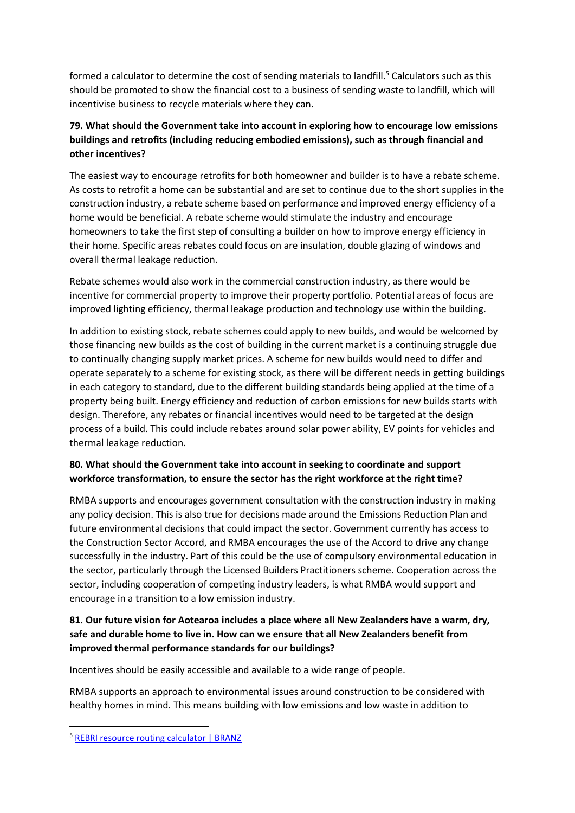formed a calculator to determine the cost of sending materials to landfill.<sup>5</sup> Calculators such as this should be promoted to show the financial cost to a business of sending waste to landfill, which will incentivise business to recycle materials where they can.

# **79. What should the Government take into account in exploring how to encourage low emissions buildings and retrofits (including reducing embodied emissions), such as through financial and other incentives?**

The easiest way to encourage retrofits for both homeowner and builder is to have a rebate scheme. As costs to retrofit a home can be substantial and are set to continue due to the short supplies in the construction industry, a rebate scheme based on performance and improved energy efficiency of a home would be beneficial. A rebate scheme would stimulate the industry and encourage homeowners to take the first step of consulting a builder on how to improve energy efficiency in their home. Specific areas rebates could focus on are insulation, double glazing of windows and overall thermal leakage reduction.

Rebate schemes would also work in the commercial construction industry, as there would be incentive for commercial property to improve their property portfolio. Potential areas of focus are improved lighting efficiency, thermal leakage production and technology use within the building.

In addition to existing stock, rebate schemes could apply to new builds, and would be welcomed by those financing new builds as the cost of building in the current market is a continuing struggle due to continually changing supply market prices. A scheme for new builds would need to differ and operate separately to a scheme for existing stock, as there will be different needs in getting buildings in each category to standard, due to the different building standards being applied at the time of a property being built. Energy efficiency and reduction of carbon emissions for new builds starts with design. Therefore, any rebates or financial incentives would need to be targeted at the design process of a build. This could include rebates around solar power ability, EV points for vehicles and thermal leakage reduction.

## **80. What should the Government take into account in seeking to coordinate and support workforce transformation, to ensure the sector has the right workforce at the right time?**

RMBA supports and encourages government consultation with the construction industry in making any policy decision. This is also true for decisions made around the Emissions Reduction Plan and future environmental decisions that could impact the sector. Government currently has access to the Construction Sector Accord, and RMBA encourages the use of the Accord to drive any change successfully in the industry. Part of this could be the use of compulsory environmental education in the sector, particularly through the Licensed Builders Practitioners scheme. Cooperation across the sector, including cooperation of competing industry leaders, is what RMBA would support and encourage in a transition to a low emission industry.

## **81. Our future vision for Aotearoa includes a place where all New Zealanders have a warm, dry, safe and durable home to live in. How can we ensure that all New Zealanders benefit from improved thermal performance standards for our buildings?**

Incentives should be easily accessible and available to a wide range of people.

RMBA supports an approach to environmental issues around construction to be considered with healthy homes in mind. This means building with low emissions and low waste in addition to

<sup>5</sup> [REBRI resource routing calculator | BRANZ](https://www.branz.co.nz/sustainable-building/reducing-building-waste/assessing-waste/rebri-resource-routing-calculator/)